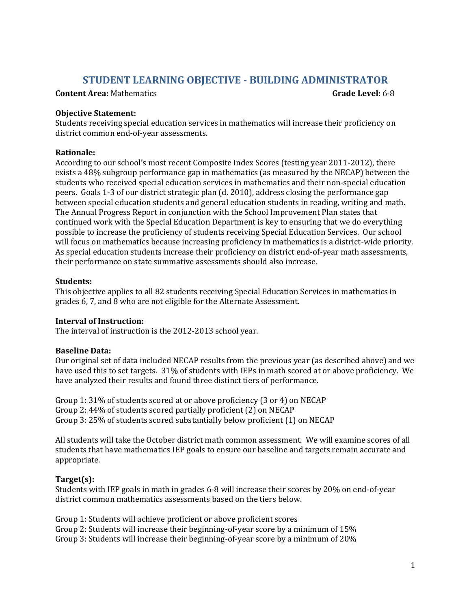# **STUDENT LEARNING OBJECTIVE - BUILDING ADMINISTRATOR**

**Content Area:** Mathematics **Grade Level:** 6-8

### **Objective Statement:**

Students receiving special education services in mathematics will increase their proficiency on district common end-of-year assessments.

### **Rationale:**

According to our school's most recent Composite Index Scores (testing year 2011-2012), there exists a 48% subgroup performance gap in mathematics (as measured by the NECAP) between the students who received special education services in mathematics and their non-special education peers. Goals 1-3 of our district strategic plan (d. 2010), address closing the performance gap between special education students and general education students in reading, writing and math. The Annual Progress Report in conjunction with the School Improvement Plan states that continued work with the Special Education Department is key to ensuring that we do everything possible to increase the proficiency of students receiving Special Education Services. Our school will focus on mathematics because increasing proficiency in mathematics is a district-wide priority. As special education students increase their proficiency on district end-of-year math assessments, their performance on state summative assessments should also increase.

#### **Students:**

This objective applies to all 82 students receiving Special Education Services in mathematics in grades 6, 7, and 8 who are not eligible for the Alternate Assessment.

### **Interval of Instruction:**

The interval of instruction is the 2012-2013 school year.

### **Baseline Data:**

Our original set of data included NECAP results from the previous year (as described above) and we have used this to set targets. 31% of students with IEPs in math scored at or above proficiency. We have analyzed their results and found three distinct tiers of performance.

Group 1: 31% of students scored at or above proficiency (3 or 4) on NECAP Group 2: 44% of students scored partially proficient (2) on NECAP Group 3: 25% of students scored substantially below proficient (1) on NECAP

All students will take the October district math common assessment. We will examine scores of all students that have mathematics IEP goals to ensure our baseline and targets remain accurate and appropriate.

# **Target(s):**

Students with IEP goals in math in grades 6-8 will increase their scores by 20% on end-of-year district common mathematics assessments based on the tiers below.

Group 1: Students will achieve proficient or above proficient scores Group 2: Students will increase their beginning-of-year score by a minimum of 15% Group 3: Students will increase their beginning-of-year score by a minimum of 20%